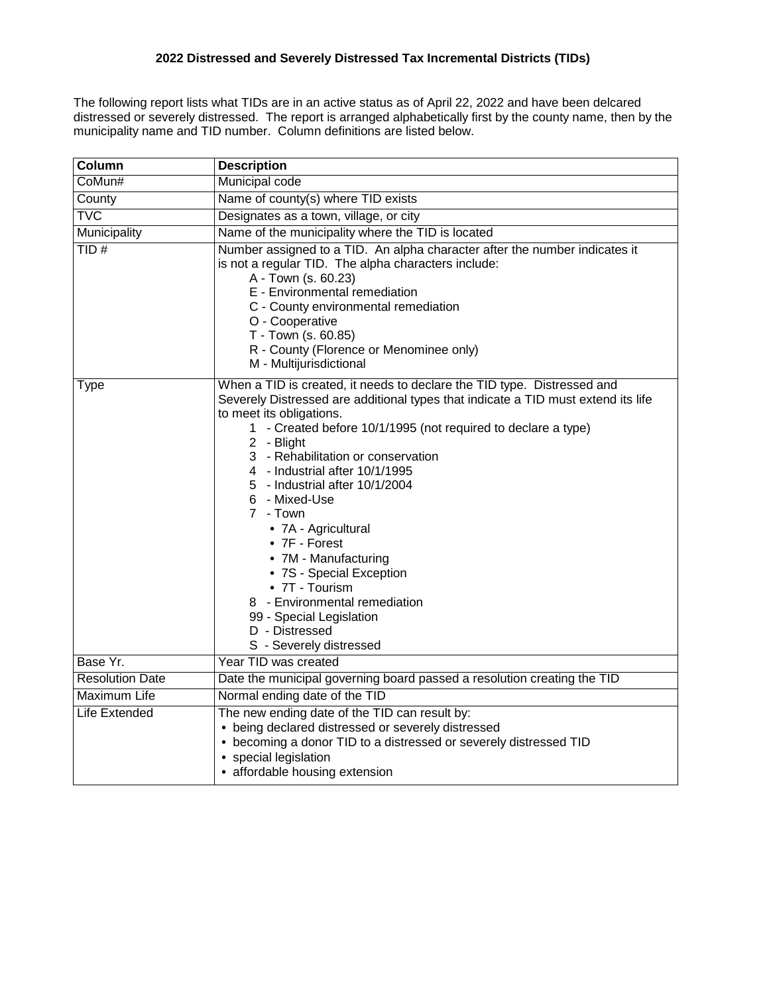The following report lists what TIDs are in an active status as of April 22, 2022 and have been delcared distressed or severely distressed. The report is arranged alphabetically first by the county name, then by the municipality name and TID number. Column definitions are listed below.

| Column                 | <b>Description</b>                                                                                                                                                                                                                                                                                                                                                                                                                                                                                                                                                                                                                     |  |  |  |  |  |  |
|------------------------|----------------------------------------------------------------------------------------------------------------------------------------------------------------------------------------------------------------------------------------------------------------------------------------------------------------------------------------------------------------------------------------------------------------------------------------------------------------------------------------------------------------------------------------------------------------------------------------------------------------------------------------|--|--|--|--|--|--|
| CoMun#                 | Municipal code                                                                                                                                                                                                                                                                                                                                                                                                                                                                                                                                                                                                                         |  |  |  |  |  |  |
| County                 | Name of county(s) where TID exists                                                                                                                                                                                                                                                                                                                                                                                                                                                                                                                                                                                                     |  |  |  |  |  |  |
| <b>TVC</b>             | Designates as a town, village, or city                                                                                                                                                                                                                                                                                                                                                                                                                                                                                                                                                                                                 |  |  |  |  |  |  |
| Municipality           | Name of the municipality where the TID is located                                                                                                                                                                                                                                                                                                                                                                                                                                                                                                                                                                                      |  |  |  |  |  |  |
| TID#                   | Number assigned to a TID. An alpha character after the number indicates it<br>is not a regular TID. The alpha characters include:<br>A - Town (s. 60.23)<br>E - Environmental remediation<br>C - County environmental remediation<br>O - Cooperative<br>T - Town (s. 60.85)<br>R - County (Florence or Menominee only)<br>M - Multijurisdictional                                                                                                                                                                                                                                                                                      |  |  |  |  |  |  |
| <b>Type</b>            | When a TID is created, it needs to declare the TID type. Distressed and<br>Severely Distressed are additional types that indicate a TID must extend its life<br>to meet its obligations.<br>1 - Created before 10/1/1995 (not required to declare a type)<br>2 - Blight<br>3 - Rehabilitation or conservation<br>4 - Industrial after 10/1/1995<br>5 - Industrial after 10/1/2004<br>6 - Mixed-Use<br>7 - Town<br>• 7A - Agricultural<br>• 7F - Forest<br>• 7M - Manufacturing<br>• 7S - Special Exception<br>• 7T - Tourism<br>8 - Environmental remediation<br>99 - Special Legislation<br>D - Distressed<br>S - Severely distressed |  |  |  |  |  |  |
| Base Yr.               | Year TID was created                                                                                                                                                                                                                                                                                                                                                                                                                                                                                                                                                                                                                   |  |  |  |  |  |  |
| <b>Resolution Date</b> | Date the municipal governing board passed a resolution creating the TID                                                                                                                                                                                                                                                                                                                                                                                                                                                                                                                                                                |  |  |  |  |  |  |
| <b>Maximum Life</b>    | Normal ending date of the TID                                                                                                                                                                                                                                                                                                                                                                                                                                                                                                                                                                                                          |  |  |  |  |  |  |
| Life Extended          | The new ending date of the TID can result by:<br>• being declared distressed or severely distressed<br>• becoming a donor TID to a distressed or severely distressed TID<br>• special legislation<br>• affordable housing extension                                                                                                                                                                                                                                                                                                                                                                                                    |  |  |  |  |  |  |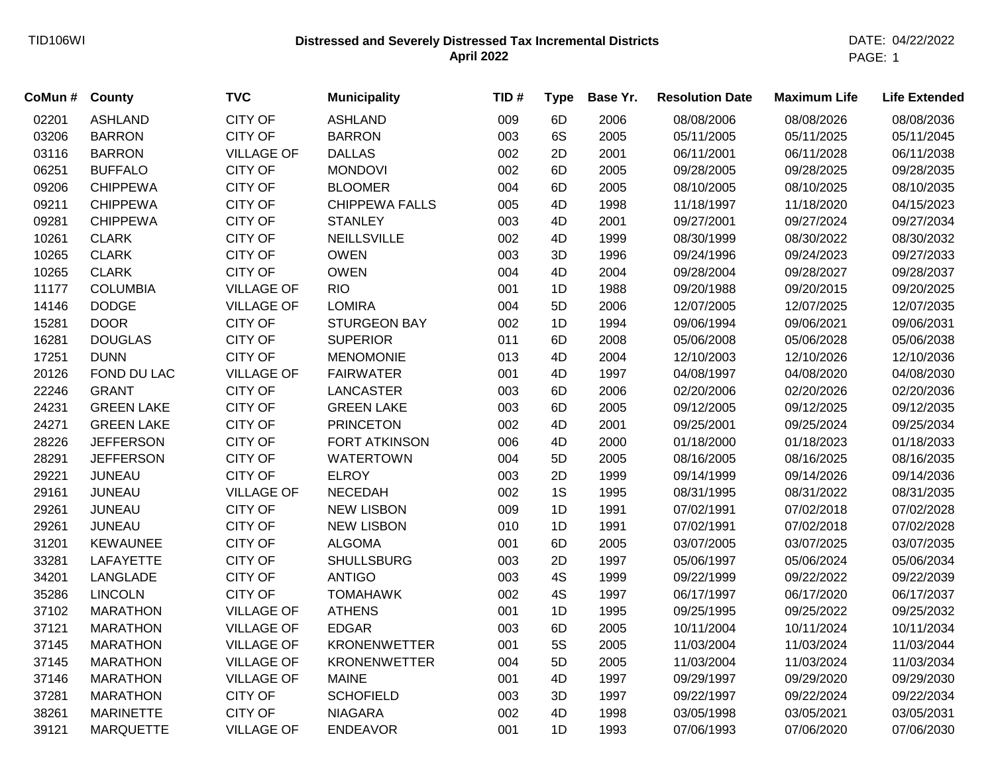## **Distressed and Severely Distressed Tax Incremental Districts** TID106WI DATE: 04/22/2022 **April 2022**

| CoMun# | <b>County</b>     | <b>TVC</b>        | <b>Municipality</b>   | TID# | <b>Type</b> | Base Yr. | <b>Resolution Date</b> | <b>Maximum Life</b> | <b>Life Extended</b> |
|--------|-------------------|-------------------|-----------------------|------|-------------|----------|------------------------|---------------------|----------------------|
| 02201  | <b>ASHLAND</b>    | <b>CITY OF</b>    | <b>ASHLAND</b>        | 009  | 6D          | 2006     | 08/08/2006             | 08/08/2026          | 08/08/2036           |
| 03206  | <b>BARRON</b>     | CITY OF           | <b>BARRON</b>         | 003  | 6S          | 2005     | 05/11/2005             | 05/11/2025          | 05/11/2045           |
| 03116  | <b>BARRON</b>     | <b>VILLAGE OF</b> | <b>DALLAS</b>         | 002  | 2D          | 2001     | 06/11/2001             | 06/11/2028          | 06/11/2038           |
| 06251  | <b>BUFFALO</b>    | CITY OF           | <b>MONDOVI</b>        | 002  | 6D          | 2005     | 09/28/2005             | 09/28/2025          | 09/28/2035           |
| 09206  | <b>CHIPPEWA</b>   | <b>CITY OF</b>    | <b>BLOOMER</b>        | 004  | 6D          | 2005     | 08/10/2005             | 08/10/2025          | 08/10/2035           |
| 09211  | <b>CHIPPEWA</b>   | CITY OF           | <b>CHIPPEWA FALLS</b> | 005  | 4D          | 1998     | 11/18/1997             | 11/18/2020          | 04/15/2023           |
| 09281  | <b>CHIPPEWA</b>   | <b>CITY OF</b>    | <b>STANLEY</b>        | 003  | 4D          | 2001     | 09/27/2001             | 09/27/2024          | 09/27/2034           |
| 10261  | <b>CLARK</b>      | <b>CITY OF</b>    | <b>NEILLSVILLE</b>    | 002  | 4D          | 1999     | 08/30/1999             | 08/30/2022          | 08/30/2032           |
| 10265  | <b>CLARK</b>      | CITY OF           | <b>OWEN</b>           | 003  | 3D          | 1996     | 09/24/1996             | 09/24/2023          | 09/27/2033           |
| 10265  | <b>CLARK</b>      | CITY OF           | <b>OWEN</b>           | 004  | 4D          | 2004     | 09/28/2004             | 09/28/2027          | 09/28/2037           |
| 11177  | <b>COLUMBIA</b>   | <b>VILLAGE OF</b> | <b>RIO</b>            | 001  | 1D          | 1988     | 09/20/1988             | 09/20/2015          | 09/20/2025           |
| 14146  | <b>DODGE</b>      | <b>VILLAGE OF</b> | <b>LOMIRA</b>         | 004  | 5D          | 2006     | 12/07/2005             | 12/07/2025          | 12/07/2035           |
| 15281  | <b>DOOR</b>       | <b>CITY OF</b>    | <b>STURGEON BAY</b>   | 002  | 1D          | 1994     | 09/06/1994             | 09/06/2021          | 09/06/2031           |
| 16281  | <b>DOUGLAS</b>    | CITY OF           | <b>SUPERIOR</b>       | 011  | 6D          | 2008     | 05/06/2008             | 05/06/2028          | 05/06/2038           |
| 17251  | <b>DUNN</b>       | <b>CITY OF</b>    | <b>MENOMONIE</b>      | 013  | 4D          | 2004     | 12/10/2003             | 12/10/2026          | 12/10/2036           |
| 20126  | FOND DU LAC       | <b>VILLAGE OF</b> | <b>FAIRWATER</b>      | 001  | 4D          | 1997     | 04/08/1997             | 04/08/2020          | 04/08/2030           |
| 22246  | <b>GRANT</b>      | <b>CITY OF</b>    | <b>LANCASTER</b>      | 003  | 6D          | 2006     | 02/20/2006             | 02/20/2026          | 02/20/2036           |
| 24231  | <b>GREEN LAKE</b> | <b>CITY OF</b>    | <b>GREEN LAKE</b>     | 003  | 6D          | 2005     | 09/12/2005             | 09/12/2025          | 09/12/2035           |
| 24271  | <b>GREEN LAKE</b> | <b>CITY OF</b>    | <b>PRINCETON</b>      | 002  | 4D          | 2001     | 09/25/2001             | 09/25/2024          | 09/25/2034           |
| 28226  | <b>JEFFERSON</b>  | <b>CITY OF</b>    | <b>FORT ATKINSON</b>  | 006  | 4D          | 2000     | 01/18/2000             | 01/18/2023          | 01/18/2033           |
| 28291  | <b>JEFFERSON</b>  | <b>CITY OF</b>    | <b>WATERTOWN</b>      | 004  | 5D          | 2005     | 08/16/2005             | 08/16/2025          | 08/16/2035           |
| 29221  | <b>JUNEAU</b>     | <b>CITY OF</b>    | <b>ELROY</b>          | 003  | 2D          | 1999     | 09/14/1999             | 09/14/2026          | 09/14/2036           |
| 29161  | <b>JUNEAU</b>     | <b>VILLAGE OF</b> | <b>NECEDAH</b>        | 002  | 1S          | 1995     | 08/31/1995             | 08/31/2022          | 08/31/2035           |
| 29261  | <b>JUNEAU</b>     | <b>CITY OF</b>    | <b>NEW LISBON</b>     | 009  | 1D          | 1991     | 07/02/1991             | 07/02/2018          | 07/02/2028           |
| 29261  | <b>JUNEAU</b>     | <b>CITY OF</b>    | <b>NEW LISBON</b>     | 010  | 1D          | 1991     | 07/02/1991             | 07/02/2018          | 07/02/2028           |
| 31201  | <b>KEWAUNEE</b>   | <b>CITY OF</b>    | <b>ALGOMA</b>         | 001  | 6D          | 2005     | 03/07/2005             | 03/07/2025          | 03/07/2035           |
| 33281  | LAFAYETTE         | <b>CITY OF</b>    | <b>SHULLSBURG</b>     | 003  | 2D          | 1997     | 05/06/1997             | 05/06/2024          | 05/06/2034           |
| 34201  | LANGLADE          | <b>CITY OF</b>    | <b>ANTIGO</b>         | 003  | 4S          | 1999     | 09/22/1999             | 09/22/2022          | 09/22/2039           |
| 35286  | <b>LINCOLN</b>    | <b>CITY OF</b>    | <b>TOMAHAWK</b>       | 002  | 4S          | 1997     | 06/17/1997             | 06/17/2020          | 06/17/2037           |
| 37102  | <b>MARATHON</b>   | <b>VILLAGE OF</b> | <b>ATHENS</b>         | 001  | 1D          | 1995     | 09/25/1995             | 09/25/2022          | 09/25/2032           |
| 37121  | <b>MARATHON</b>   | <b>VILLAGE OF</b> | <b>EDGAR</b>          | 003  | 6D          | 2005     | 10/11/2004             | 10/11/2024          | 10/11/2034           |
| 37145  | <b>MARATHON</b>   | <b>VILLAGE OF</b> | <b>KRONENWETTER</b>   | 001  | <b>5S</b>   | 2005     | 11/03/2004             | 11/03/2024          | 11/03/2044           |
| 37145  | <b>MARATHON</b>   | <b>VILLAGE OF</b> | <b>KRONENWETTER</b>   | 004  | 5D          | 2005     | 11/03/2004             | 11/03/2024          | 11/03/2034           |
| 37146  | <b>MARATHON</b>   | <b>VILLAGE OF</b> | <b>MAINE</b>          | 001  | 4D          | 1997     | 09/29/1997             | 09/29/2020          | 09/29/2030           |
| 37281  | <b>MARATHON</b>   | <b>CITY OF</b>    | <b>SCHOFIELD</b>      | 003  | 3D          | 1997     | 09/22/1997             | 09/22/2024          | 09/22/2034           |
| 38261  | <b>MARINETTE</b>  | <b>CITY OF</b>    | <b>NIAGARA</b>        | 002  | 4D          | 1998     | 03/05/1998             | 03/05/2021          | 03/05/2031           |
| 39121  | <b>MARQUETTE</b>  | <b>VILLAGE OF</b> | <b>ENDEAVOR</b>       | 001  | 1D          | 1993     | 07/06/1993             | 07/06/2020          | 07/06/2030           |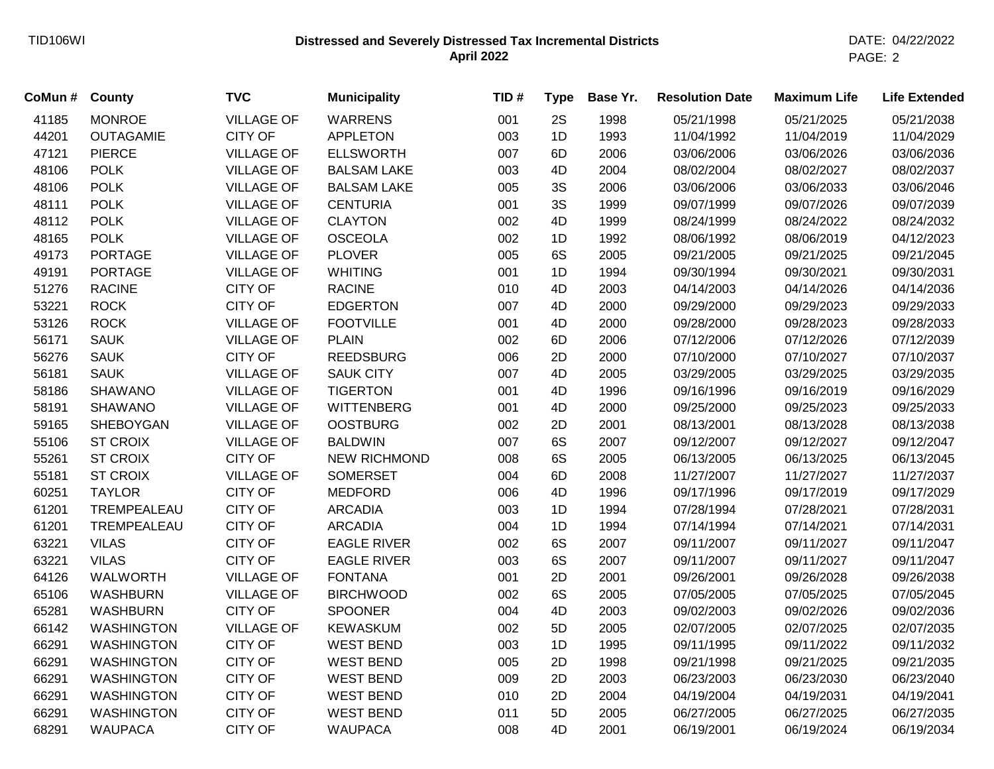## **Distressed and Severely Distressed Tax Incremental Districts** TID106WI DATE: 04/22/2022 **April 2022**

PAGE: 2

| CoMun# | <b>County</b>     | <b>TVC</b>        | <b>Municipality</b> | TID# | <b>Type</b> | Base Yr. | <b>Resolution Date</b> | <b>Maximum Life</b> | <b>Life Extended</b> |
|--------|-------------------|-------------------|---------------------|------|-------------|----------|------------------------|---------------------|----------------------|
| 41185  | <b>MONROE</b>     | <b>VILLAGE OF</b> | <b>WARRENS</b>      | 001  | 2S          | 1998     | 05/21/1998             | 05/21/2025          | 05/21/2038           |
| 44201  | <b>OUTAGAMIE</b>  | <b>CITY OF</b>    | <b>APPLETON</b>     | 003  | 1D          | 1993     | 11/04/1992             | 11/04/2019          | 11/04/2029           |
| 47121  | <b>PIERCE</b>     | <b>VILLAGE OF</b> | <b>ELLSWORTH</b>    | 007  | 6D          | 2006     | 03/06/2006             | 03/06/2026          | 03/06/2036           |
| 48106  | <b>POLK</b>       | <b>VILLAGE OF</b> | <b>BALSAM LAKE</b>  | 003  | 4D          | 2004     | 08/02/2004             | 08/02/2027          | 08/02/2037           |
| 48106  | <b>POLK</b>       | <b>VILLAGE OF</b> | <b>BALSAM LAKE</b>  | 005  | 3S          | 2006     | 03/06/2006             | 03/06/2033          | 03/06/2046           |
| 48111  | <b>POLK</b>       | <b>VILLAGE OF</b> | <b>CENTURIA</b>     | 001  | 3S          | 1999     | 09/07/1999             | 09/07/2026          | 09/07/2039           |
| 48112  | <b>POLK</b>       | <b>VILLAGE OF</b> | <b>CLAYTON</b>      | 002  | 4D          | 1999     | 08/24/1999             | 08/24/2022          | 08/24/2032           |
| 48165  | <b>POLK</b>       | <b>VILLAGE OF</b> | <b>OSCEOLA</b>      | 002  | 1D          | 1992     | 08/06/1992             | 08/06/2019          | 04/12/2023           |
| 49173  | <b>PORTAGE</b>    | <b>VILLAGE OF</b> | <b>PLOVER</b>       | 005  | 6S          | 2005     | 09/21/2005             | 09/21/2025          | 09/21/2045           |
| 49191  | <b>PORTAGE</b>    | <b>VILLAGE OF</b> | <b>WHITING</b>      | 001  | 1D          | 1994     | 09/30/1994             | 09/30/2021          | 09/30/2031           |
| 51276  | <b>RACINE</b>     | <b>CITY OF</b>    | <b>RACINE</b>       | 010  | 4D          | 2003     | 04/14/2003             | 04/14/2026          | 04/14/2036           |
| 53221  | <b>ROCK</b>       | <b>CITY OF</b>    | <b>EDGERTON</b>     | 007  | 4D          | 2000     | 09/29/2000             | 09/29/2023          | 09/29/2033           |
| 53126  | <b>ROCK</b>       | <b>VILLAGE OF</b> | <b>FOOTVILLE</b>    | 001  | 4D          | 2000     | 09/28/2000             | 09/28/2023          | 09/28/2033           |
| 56171  | <b>SAUK</b>       | <b>VILLAGE OF</b> | <b>PLAIN</b>        | 002  | 6D          | 2006     | 07/12/2006             | 07/12/2026          | 07/12/2039           |
| 56276  | <b>SAUK</b>       | <b>CITY OF</b>    | <b>REEDSBURG</b>    | 006  | 2D          | 2000     | 07/10/2000             | 07/10/2027          | 07/10/2037           |
| 56181  | <b>SAUK</b>       | <b>VILLAGE OF</b> | <b>SAUK CITY</b>    | 007  | 4D          | 2005     | 03/29/2005             | 03/29/2025          | 03/29/2035           |
| 58186  | <b>SHAWANO</b>    | <b>VILLAGE OF</b> | <b>TIGERTON</b>     | 001  | 4D          | 1996     | 09/16/1996             | 09/16/2019          | 09/16/2029           |
| 58191  | <b>SHAWANO</b>    | <b>VILLAGE OF</b> | <b>WITTENBERG</b>   | 001  | 4D          | 2000     | 09/25/2000             | 09/25/2023          | 09/25/2033           |
| 59165  | SHEBOYGAN         | <b>VILLAGE OF</b> | <b>OOSTBURG</b>     | 002  | 2D          | 2001     | 08/13/2001             | 08/13/2028          | 08/13/2038           |
| 55106  | <b>ST CROIX</b>   | <b>VILLAGE OF</b> | <b>BALDWIN</b>      | 007  | 6S          | 2007     | 09/12/2007             | 09/12/2027          | 09/12/2047           |
| 55261  | <b>ST CROIX</b>   | <b>CITY OF</b>    | <b>NEW RICHMOND</b> | 008  | 6S          | 2005     | 06/13/2005             | 06/13/2025          | 06/13/2045           |
| 55181  | <b>ST CROIX</b>   | <b>VILLAGE OF</b> | <b>SOMERSET</b>     | 004  | 6D          | 2008     | 11/27/2007             | 11/27/2027          | 11/27/2037           |
| 60251  | <b>TAYLOR</b>     | <b>CITY OF</b>    | <b>MEDFORD</b>      | 006  | 4D          | 1996     | 09/17/1996             | 09/17/2019          | 09/17/2029           |
| 61201  | TREMPEALEAU       | <b>CITY OF</b>    | <b>ARCADIA</b>      | 003  | 1D          | 1994     | 07/28/1994             | 07/28/2021          | 07/28/2031           |
| 61201  | TREMPEALEAU       | <b>CITY OF</b>    | <b>ARCADIA</b>      | 004  | 1D          | 1994     | 07/14/1994             | 07/14/2021          | 07/14/2031           |
| 63221  | <b>VILAS</b>      | <b>CITY OF</b>    | <b>EAGLE RIVER</b>  | 002  | 6S          | 2007     | 09/11/2007             | 09/11/2027          | 09/11/2047           |
| 63221  | <b>VILAS</b>      | <b>CITY OF</b>    | <b>EAGLE RIVER</b>  | 003  | 6S          | 2007     | 09/11/2007             | 09/11/2027          | 09/11/2047           |
| 64126  | <b>WALWORTH</b>   | <b>VILLAGE OF</b> | <b>FONTANA</b>      | 001  | 2D          | 2001     | 09/26/2001             | 09/26/2028          | 09/26/2038           |
| 65106  | WASHBURN          | <b>VILLAGE OF</b> | <b>BIRCHWOOD</b>    | 002  | 6S          | 2005     | 07/05/2005             | 07/05/2025          | 07/05/2045           |
| 65281  | <b>WASHBURN</b>   | <b>CITY OF</b>    | <b>SPOONER</b>      | 004  | 4D          | 2003     | 09/02/2003             | 09/02/2026          | 09/02/2036           |
| 66142  | <b>WASHINGTON</b> | <b>VILLAGE OF</b> | <b>KEWASKUM</b>     | 002  | 5D          | 2005     | 02/07/2005             | 02/07/2025          | 02/07/2035           |
| 66291  | <b>WASHINGTON</b> | <b>CITY OF</b>    | <b>WEST BEND</b>    | 003  | 1D          | 1995     | 09/11/1995             | 09/11/2022          | 09/11/2032           |
| 66291  | <b>WASHINGTON</b> | <b>CITY OF</b>    | <b>WEST BEND</b>    | 005  | 2D          | 1998     | 09/21/1998             | 09/21/2025          | 09/21/2035           |
| 66291  | <b>WASHINGTON</b> | <b>CITY OF</b>    | <b>WEST BEND</b>    | 009  | 2D          | 2003     | 06/23/2003             | 06/23/2030          | 06/23/2040           |
| 66291  | <b>WASHINGTON</b> | <b>CITY OF</b>    | <b>WEST BEND</b>    | 010  | 2D          | 2004     | 04/19/2004             | 04/19/2031          | 04/19/2041           |
| 66291  | <b>WASHINGTON</b> | <b>CITY OF</b>    | <b>WEST BEND</b>    | 011  | 5D          | 2005     | 06/27/2005             | 06/27/2025          | 06/27/2035           |
| 68291  | <b>WAUPACA</b>    | <b>CITY OF</b>    | <b>WAUPACA</b>      | 008  | 4D          | 2001     | 06/19/2001             | 06/19/2024          | 06/19/2034           |